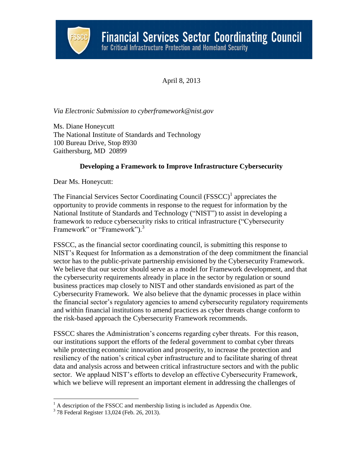

April 8, 2013

*Via Electronic Submission to cyberframework@nist.gov*

Ms. Diane Honeycutt The National Institute of Standards and Technology 100 Bureau Drive, Stop 8930 Gaithersburg, MD 20899

# **Developing a Framework to Improve Infrastructure Cybersecurity**

Dear Ms. Honeycutt:

The Financial Services Sector Coordinating Council  $(FSSCC)^{1}$  appreciates the opportunity to provide comments in response to the request for information by the National Institute of Standards and Technology ("NIST") to assist in developing a framework to reduce cybersecurity risks to critical infrastructure ("Cybersecurity Framework" or "Framework").<sup>3</sup>

FSSCC, as the financial sector coordinating council, is submitting this response to NIST's Request for Information as a demonstration of the deep commitment the financial sector has to the public-private partnership envisioned by the Cybersecurity Framework. We believe that our sector should serve as a model for Framework development, and that the cybersecurity requirements already in place in the sector by regulation or sound business practices map closely to NIST and other standards envisioned as part of the Cybersecurity Framework. We also believe that the dynamic processes in place within the financial sector's regulatory agencies to amend cybersecurity regulatory requirements and within financial institutions to amend practices as cyber threats change conform to the risk-based approach the Cybersecurity Framework recommends.

FSSCC shares the Administration's concerns regarding cyber threats. For this reason, our institutions support the efforts of the federal government to combat cyber threats while protecting economic innovation and prosperity, to increase the protection and resiliency of the nation's critical cyber infrastructure and to facilitate sharing of threat data and analysis across and between critical infrastructure sectors and with the public sector. We applaud NIST's efforts to develop an effective Cybersecurity Framework, which we believe will represent an important element in addressing the challenges of

 $<sup>1</sup>$  A description of the FSSCC and membership listing is included as Appendix One.</sup>

<sup>3</sup> 78 Federal Register 13,024 (Feb. 26, 2013).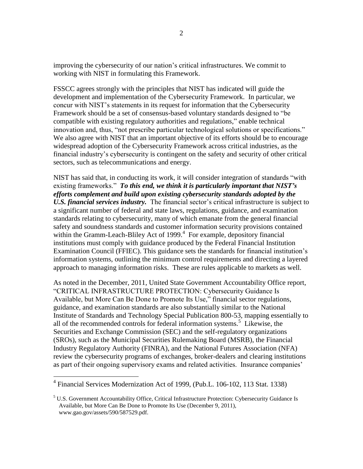improving the cybersecurity of our nation's critical infrastructures. We commit to working with NIST in formulating this Framework.

FSSCC agrees strongly with the principles that NIST has indicated will guide the development and implementation of the Cybersecurity Framework. In particular, we concur with NIST's statements in its request for information that the Cybersecurity Framework should be a set of consensus-based voluntary standards designed to "be compatible with existing regulatory authorities and regulations," enable technical innovation and, thus, "not prescribe particular technological solutions or specifications." We also agree with NIST that an important objective of its efforts should be to encourage widespread adoption of the Cybersecurity Framework across critical industries, as the financial industry's cybersecurity is contingent on the safety and security of other critical sectors, such as telecommunications and energy.

NIST has said that, in conducting its work, it will consider integration of standards "with existing frameworks." *To this end, we think it is particularly important that NIST's efforts complement and build upon existing cybersecurity standards adopted by the U.S. financial services industry.* The financial sector's critical infrastructure is subject to a significant number of federal and state laws, regulations, guidance, and examination standards relating to cybersecurity, many of which emanate from the general financial safety and soundness standards and customer information security provisions contained within the Gramm-Leach-Bliley Act of 1999. $<sup>4</sup>$  For example, depository financial</sup> institutions must comply with guidance produced by the Federal Financial Institution Examination Council (FFIEC). This guidance sets the standards for financial institution's information systems, outlining the minimum control requirements and directing a layered approach to managing information risks. These are rules applicable to markets as well.

As noted in the December, 2011, United State Government Accountability Office report, "CRITICAL INFRASTRUCTURE PROTECTION: Cybersecurity Guidance Is Available, but More Can Be Done to Promote Its Use," financial sector regulations, guidance, and examination standards are also substantially similar to the National Institute of Standards and Technology Special Publication 800-53, mapping essentially to all of the recommended controls for federal information systems.<sup>5</sup> Likewise, the Securities and Exchange Commission (SEC) and the self-regulatory organizations (SROs), such as the Municipal Securities Rulemaking Board (MSRB), the Financial Industry Regulatory Authority (FINRA), and the National Futures Association (NFA) review the cybersecurity programs of exchanges, broker-dealers and clearing institutions as part of their ongoing supervisory exams and related activities. Insurance companies'

 4 Financial Services Modernization Act of 1999, (Pub.L. 106-102, 113 Stat. 1338)

 $<sup>5</sup>$  U.S. Government Accountability Office, Critical Infrastructure Protection: Cybersecurity Guidance Is</sup> Available, but More Can Be Done to Promote Its Use (December 9, 2011), www.gao.gov/assets/590/587529.pdf.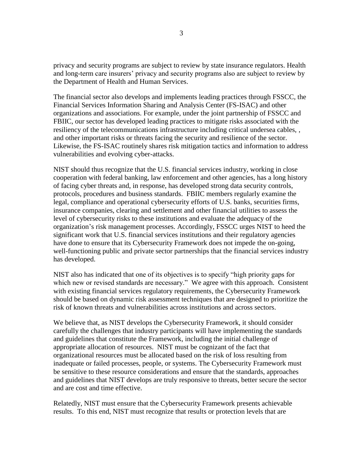privacy and security programs are subject to review by state insurance regulators. Health and long-term care insurers' privacy and security programs also are subject to review by the Department of Health and Human Services.

The financial sector also develops and implements leading practices through FSSCC, the Financial Services Information Sharing and Analysis Center (FS-ISAC) and other organizations and associations. For example, under the joint partnership of FSSCC and FBIIC, our sector has developed leading practices to mitigate risks associated with the resiliency of the telecommunications infrastructure including critical undersea cables, , and other important risks or threats facing the security and resilience of the sector. Likewise, the FS-ISAC routinely shares risk mitigation tactics and information to address vulnerabilities and evolving cyber-attacks.

NIST should thus recognize that the U.S. financial services industry, working in close cooperation with federal banking, law enforcement and other agencies, has a long history of facing cyber threats and, in response, has developed strong data security controls, protocols, procedures and business standards. FBIIC members regularly examine the legal, compliance and operational cybersecurity efforts of U.S. banks, securities firms, insurance companies, clearing and settlement and other financial utilities to assess the level of cybersecurity risks to these institutions and evaluate the adequacy of the organization's risk management processes. Accordingly, FSSCC urges NIST to heed the significant work that U.S. financial services institutions and their regulatory agencies have done to ensure that its Cybersecurity Framework does not impede the on-going, well-functioning public and private sector partnerships that the financial services industry has developed.

NIST also has indicated that one of its objectives is to specify "high priority gaps for which new or revised standards are necessary." We agree with this approach. Consistent with existing financial services regulatory requirements, the Cybersecurity Framework should be based on dynamic risk assessment techniques that are designed to prioritize the risk of known threats and vulnerabilities across institutions and across sectors.

We believe that, as NIST develops the Cybersecurity Framework, it should consider carefully the challenges that industry participants will have implementing the standards and guidelines that constitute the Framework, including the initial challenge of appropriate allocation of resources. NIST must be cognizant of the fact that organizational resources must be allocated based on the risk of loss resulting from inadequate or failed processes, people, or systems. The Cybersecurity Framework must be sensitive to these resource considerations and ensure that the standards, approaches and guidelines that NIST develops are truly responsive to threats, better secure the sector and are cost and time effective.

Relatedly, NIST must ensure that the Cybersecurity Framework presents achievable results. To this end, NIST must recognize that results or protection levels that are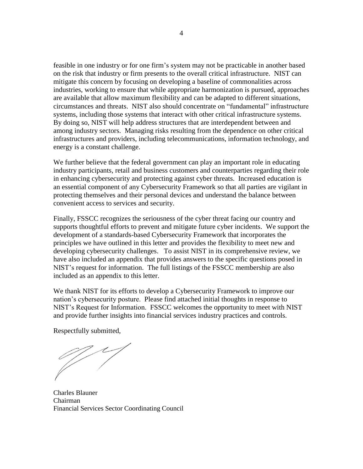feasible in one industry or for one firm's system may not be practicable in another based on the risk that industry or firm presents to the overall critical infrastructure. NIST can mitigate this concern by focusing on developing a baseline of commonalities across industries, working to ensure that while appropriate harmonization is pursued, approaches are available that allow maximum flexibility and can be adapted to different situations, circumstances and threats. NIST also should concentrate on "fundamental" infrastructure systems, including those systems that interact with other critical infrastructure systems. By doing so, NIST will help address structures that are interdependent between and among industry sectors. Managing risks resulting from the dependence on other critical infrastructures and providers, including telecommunications, information technology, and energy is a constant challenge.

We further believe that the federal government can play an important role in educating industry participants, retail and business customers and counterparties regarding their role in enhancing cybersecurity and protecting against cyber threats. Increased education is an essential component of any Cybersecurity Framework so that all parties are vigilant in protecting themselves and their personal devices and understand the balance between convenient access to services and security.

Finally, FSSCC recognizes the seriousness of the cyber threat facing our country and supports thoughtful efforts to prevent and mitigate future cyber incidents. We support the development of a standards-based Cybersecurity Framework that incorporates the principles we have outlined in this letter and provides the flexibility to meet new and developing cybersecurity challenges. To assist NIST in its comprehensive review, we have also included an appendix that provides answers to the specific questions posed in NIST's request for information. The full listings of the FSSCC membership are also included as an appendix to this letter.

We thank NIST for its efforts to develop a Cybersecurity Framework to improve our nation's cybersecurity posture. Please find attached initial thoughts in response to NIST's Request for Information. FSSCC welcomes the opportunity to meet with NIST and provide further insights into financial services industry practices and controls.

Respectfully submitted,

Charles Blauner Chairman Financial Services Sector Coordinating Council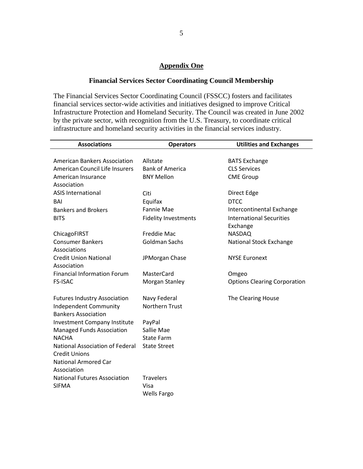### **Appendix One**

## **Financial Services Sector Coordinating Council Membership**

The Financial Services Sector Coordinating Council (FSSCC) fosters and facilitates financial services sector-wide activities and initiatives designed to improve Critical Infrastructure Protection and Homeland Security. The Council was created in June 2002 by the private sector, with recognition from the U.S. Treasury, to coordinate critical infrastructure and homeland security activities in the financial services industry.

| <b>Associations</b>                 | <b>Operators</b>            | <b>Utilities and Exchanges</b>      |
|-------------------------------------|-----------------------------|-------------------------------------|
|                                     |                             |                                     |
| <b>American Bankers Association</b> | Allstate                    | <b>BATS Exchange</b>                |
| American Council Life Insurers      | <b>Bank of America</b>      | <b>CLS Services</b>                 |
| American Insurance                  | <b>BNY Mellon</b>           | <b>CME Group</b>                    |
| Association                         |                             |                                     |
| <b>ASIS International</b>           | Citi                        | Direct Edge                         |
| <b>BAI</b>                          | Equifax                     | <b>DTCC</b>                         |
| <b>Bankers and Brokers</b>          | <b>Fannie Mae</b>           | Intercontinental Exchange           |
| <b>BITS</b>                         | <b>Fidelity Investments</b> | <b>International Securities</b>     |
|                                     |                             | Exchange                            |
| ChicagoFIRST                        | Freddie Mac                 | <b>NASDAQ</b>                       |
| <b>Consumer Bankers</b>             | <b>Goldman Sachs</b>        | National Stock Exchange             |
| Associations                        |                             |                                     |
| <b>Credit Union National</b>        | JPMorgan Chase              | <b>NYSE Euronext</b>                |
| Association                         |                             |                                     |
| <b>Financial Information Forum</b>  | MasterCard                  | Omgeo                               |
| <b>FS-ISAC</b>                      | Morgan Stanley              | <b>Options Clearing Corporation</b> |
|                                     |                             |                                     |
| <b>Futures Industry Association</b> | Navy Federal                | The Clearing House                  |
| <b>Independent Community</b>        | Northern Trust              |                                     |
| <b>Bankers Association</b>          |                             |                                     |
| <b>Investment Company Institute</b> | PayPal                      |                                     |
| <b>Managed Funds Association</b>    | Sallie Mae                  |                                     |
| <b>NACHA</b>                        | <b>State Farm</b>           |                                     |
| National Association of Federal     | <b>State Street</b>         |                                     |
| <b>Credit Unions</b>                |                             |                                     |
| <b>National Armored Car</b>         |                             |                                     |
| Association                         |                             |                                     |
| <b>National Futures Association</b> | <b>Travelers</b>            |                                     |
| <b>SIFMA</b>                        | Visa                        |                                     |
|                                     | <b>Wells Fargo</b>          |                                     |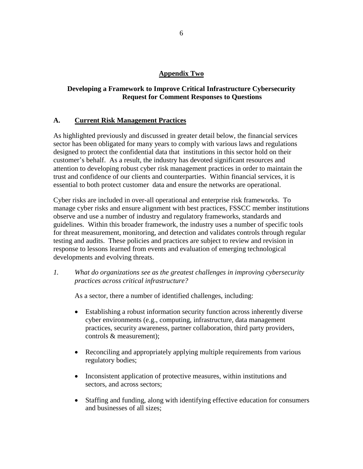## **Appendix Two**

# **Developing a Framework to Improve Critical Infrastructure Cybersecurity Request for Comment Responses to Questions**

## **A. Current Risk Management Practices**

As highlighted previously and discussed in greater detail below, the financial services sector has been obligated for many years to comply with various laws and regulations designed to protect the confidential data that institutions in this sector hold on their customer's behalf. As a result, the industry has devoted significant resources and attention to developing robust cyber risk management practices in order to maintain the trust and confidence of our clients and counterparties. Within financial services, it is essential to both protect customer data and ensure the networks are operational.

Cyber risks are included in over-all operational and enterprise risk frameworks. To manage cyber risks and ensure alignment with best practices, FSSCC member institutions observe and use a number of industry and regulatory frameworks, standards and guidelines. Within this broader framework, the industry uses a number of specific tools for threat measurement, monitoring, and detection and validates controls through regular testing and audits. These policies and practices are subject to review and revision in response to lessons learned from events and evaluation of emerging technological developments and evolving threats.

*1. What do organizations see as the greatest challenges in improving cybersecurity practices across critical infrastructure?*

As a sector, there a number of identified challenges, including:

- Establishing a robust information security function across inherently diverse cyber environments (e.g., computing, infrastructure, data management practices, security awareness, partner collaboration, third party providers, controls & measurement);
- Reconciling and appropriately applying multiple requirements from various regulatory bodies;
- Inconsistent application of protective measures, within institutions and sectors, and across sectors;
- Staffing and funding, along with identifying effective education for consumers and businesses of all sizes;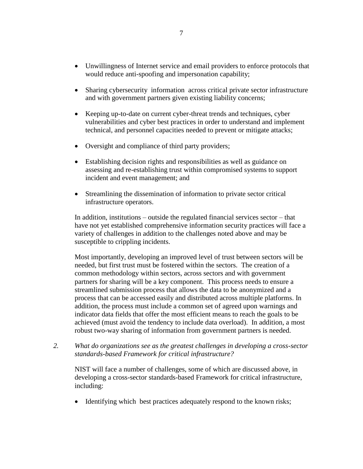- Unwillingness of Internet service and email providers to enforce protocols that would reduce anti-spoofing and impersonation capability;
- Sharing cybersecurity information across critical private sector infrastructure and with government partners given existing liability concerns;
- Keeping up-to-date on current cyber-threat trends and techniques, cyber vulnerabilities and cyber best practices in order to understand and implement technical, and personnel capacities needed to prevent or mitigate attacks;
- Oversight and compliance of third party providers;
- Establishing decision rights and responsibilities as well as guidance on assessing and re-establishing trust within compromised systems to support incident and event management; and
- Streamlining the dissemination of information to private sector critical infrastructure operators.

In addition, institutions – outside the regulated financial services sector – that have not yet established comprehensive information security practices will face a variety of challenges in addition to the challenges noted above and may be susceptible to crippling incidents.

Most importantly, developing an improved level of trust between sectors will be needed, but first trust must be fostered within the sectors. The creation of a common methodology within sectors, across sectors and with government partners for sharing will be a key component. This process needs to ensure a streamlined submission process that allows the data to be anonymized and a process that can be accessed easily and distributed across multiple platforms. In addition, the process must include a common set of agreed upon warnings and indicator data fields that offer the most efficient means to reach the goals to be achieved (must avoid the tendency to include data overload). In addition, a most robust two-way sharing of information from government partners is needed.

*2. What do organizations see as the greatest challenges in developing a cross-sector standards-based Framework for critical infrastructure?*

NIST will face a number of challenges, some of which are discussed above, in developing a cross-sector standards-based Framework for critical infrastructure, including:

• Identifying which best practices adequately respond to the known risks;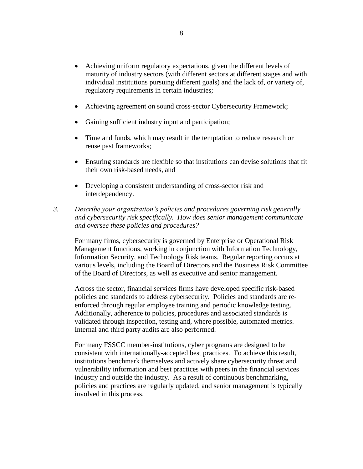- Achieving uniform regulatory expectations, given the different levels of maturity of industry sectors (with different sectors at different stages and with individual institutions pursuing different goals) and the lack of, or variety of, regulatory requirements in certain industries;
- Achieving agreement on sound cross-sector Cybersecurity Framework;
- Gaining sufficient industry input and participation;
- Time and funds, which may result in the temptation to reduce research or reuse past frameworks;
- Ensuring standards are flexible so that institutions can devise solutions that fit their own risk-based needs, and
- Developing a consistent understanding of cross-sector risk and interdependency.
- *3. Describe your organization's policies and procedures governing risk generally and cybersecurity risk specifically. How does senior management communicate and oversee these policies and procedures?*

For many firms, cybersecurity is governed by Enterprise or Operational Risk Management functions, working in conjunction with Information Technology, Information Security, and Technology Risk teams. Regular reporting occurs at various levels, including the Board of Directors and the Business Risk Committee of the Board of Directors, as well as executive and senior management.

Across the sector, financial services firms have developed specific risk-based policies and standards to address cybersecurity. Policies and standards are reenforced through regular employee training and periodic knowledge testing. Additionally, adherence to policies, procedures and associated standards is validated through inspection, testing and, where possible, automated metrics. Internal and third party audits are also performed.

For many FSSCC member-institutions, cyber programs are designed to be consistent with internationally-accepted best practices. To achieve this result, institutions benchmark themselves and actively share cybersecurity threat and vulnerability information and best practices with peers in the financial services industry and outside the industry. As a result of continuous benchmarking, policies and practices are regularly updated, and senior management is typically involved in this process.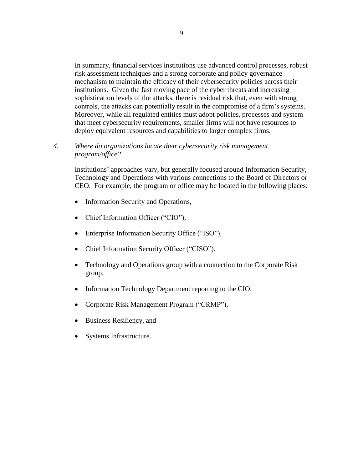In summary, financial services institutions use advanced control processes, robust risk assessment techniques and a strong corporate and policy governance mechanism to maintain the efficacy of their cybersecurity policies across their institutions. Given the fast moving pace of the cyber threats and increasing sophistication levels of the attacks, there is residual risk that, even with strong controls, the attacks can potentially result in the compromise of a firm's systems. Moreover, while all regulated entities must adopt policies, processes and system that meet cybersecurity requirements, smaller firms will not have resources to deploy equivalent resources and capabilities to larger complex firms.

### *4. Where do organizations locate their cybersecurity risk management program/office?*

Institutions' approaches vary, but generally focused around Information Security, Technology and Operations with various connections to the Board of Directors or CEO. For example, the program or office may be located in the following places:

- Information Security and Operations,
- Chief Information Officer ("CIO"),
- Enterprise Information Security Office ("ISO"),
- Chief Information Security Officer ("CISO"),
- Technology and Operations group with a connection to the Corporate Risk group,
- Information Technology Department reporting to the CIO,
- Corporate Risk Management Program ("CRMP"),
- Business Resiliency, and
- Systems Infrastructure.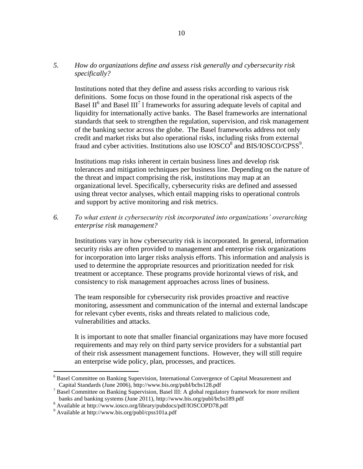# *5. How do organizations define and assess risk generally and cybersecurity risk specifically?*

Institutions noted that they define and assess risks according to various risk definitions. Some focus on those found in the operational risk aspects of the Basel  $II^6$  and Basel  $III^7$  1 frameworks for assuring adequate levels of capital and liquidity for internationally active banks. The Basel frameworks are international standards that seek to strengthen the regulation, supervision, and risk management of the banking sector across the globe. The Basel frameworks address not only credit and market risks but also operational risks, including risks from external fraud and cyber activities. Institutions also use  $IOSCO<sup>8</sup>$  and BIS/IOSCO/CPSS<sup>9</sup>.

Institutions map risks inherent in certain business lines and develop risk tolerances and mitigation techniques per business line. Depending on the nature of the threat and impact comprising the risk, institutions may map at an organizational level. Specifically, cybersecurity risks are defined and assessed using threat vector analyses, which entail mapping risks to operational controls and support by active monitoring and risk metrics.

#### *6. To what extent is cybersecurity risk incorporated into organizations' overarching enterprise risk management?*

Institutions vary in how cybersecurity risk is incorporated. In general, information security risks are often provided to management and enterprise risk organizations for incorporation into larger risks analysis efforts. This information and analysis is used to determine the appropriate resources and prioritization needed for risk treatment or acceptance. These programs provide horizontal views of risk, and consistency to risk management approaches across lines of business.

The team responsible for cybersecurity risk provides proactive and reactive monitoring, assessment and communication of the internal and external landscape for relevant cyber events, risks and threats related to malicious code, vulnerabilities and attacks.

It is important to note that smaller financial organizations may have more focused requirements and may rely on third party service providers for a substantial part of their risk assessment management functions. However, they will still require an enterprise wide policy, plan, processes, and practices.

<sup>&</sup>lt;sup>6</sup> Basel Committee on Banking Supervision, International Convergence of Capital Measurement and Capital Standards (June 2006), http://www.bis.org/publ/bcbs128.pdf

<sup>&</sup>lt;sup>7</sup> Basel Committee on Banking Supervision, Basel III: A global regulatory framework for more resilient banks and banking systems (June 2011), http://www.bis.org/publ/bcbs189.pdf

<sup>&</sup>lt;sup>8</sup> Available at http://www.iosco.org/library/pubdocs/pdf/IOSCOPD78.pdf

<sup>9</sup> Available at http://www.bis.org/publ/cpss101a.pdf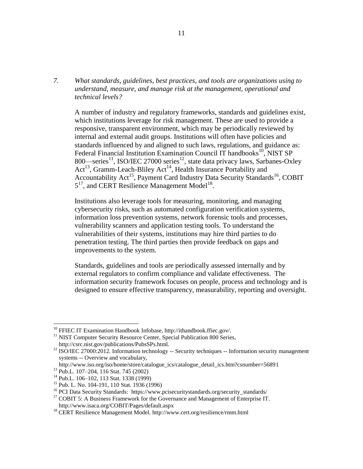*7. What standards, guidelines, best practices, and tools are organizations using to understand, measure, and manage risk at the management, operational and technical levels?*

A number of industry and regulatory frameworks, standards and guidelines exist, which institutions leverage for risk management. These are used to provide a responsive, transparent environment, which may be periodically reviewed by internal and external audit groups. Institutions will often have policies and standards influenced by and aligned to such laws, regulations, and guidance as: Federal Financial Institution Examination Council IT handbooks<sup>10</sup>, NIST SP 800—series<sup>11</sup>, ISO/IEC 27000 series<sup>12</sup>, state data privacy laws, Sarbanes-Oxley  $Act^{13}$ , Gramm-Leach-Bliley Act<sup>14</sup>, Health Insurance Portability and Accountability Act<sup>15</sup>, Payment Card Industry Data Security Standards<sup>16</sup>, COBIT  $5^{17}$ , and CERT Resilience Management Model<sup>18</sup>.

Institutions also leverage tools for measuring, monitoring, and managing cybersecurity risks, such as automated configuration verification systems, information loss prevention systems, network forensic tools and processes, vulnerability scanners and application testing tools. To understand the vulnerabilities of their systems, institutions may hire third parties to do penetration testing. The third parties then provide feedback on gaps and improvements to the system.

Standards, guidelines and tools are periodically assessed internally and by external regulators to confirm compliance and validate effectiveness. The information security framework focuses on people, process and technology and is designed to ensure effective transparency, measurability, reporting and oversight.

<sup>&</sup>lt;sup>10</sup> FFIEC IT Examination Handbook Infobase, http://ithandbook.ffiec.gov/.

<sup>&</sup>lt;sup>11</sup> NIST Computer Security Resource Center, Special Publication 800 Series, http://csrc.nist.gov/publications/PubsSPs.html.

<sup>&</sup>lt;sup>12</sup> ISO/IEC 27000:2012. Information technology -- Security techniques -- Information security management systems -- Overview and vocabulary,

http://www.iso.org/iso/home/store/catalogue\_ics/catalogue\_detail\_ics.htm?csnumber=56891

<sup>13</sup> Pub.L. 107–204, 116 Stat. 745 (2002)

<sup>14</sup> Pub.L. 106–102, 113 Stat. 1338 (1999)

<sup>&</sup>lt;sup>15</sup> Pub. L. No. 104-191, 110 Stat. 1936 (1996)

<sup>&</sup>lt;sup>16</sup> PCI Data Security Standards: https://www.pcisecuritystandards.org/security\_standards/

<sup>&</sup>lt;sup>17</sup> COBIT 5: A Business Framework for the Governance and Management of Enterprise IT. http://www.isaca.org/COBIT/Pages/default.aspx

<sup>&</sup>lt;sup>18</sup> CERT Resilience Management Model. http://www.cert.org/resilience/rmm.html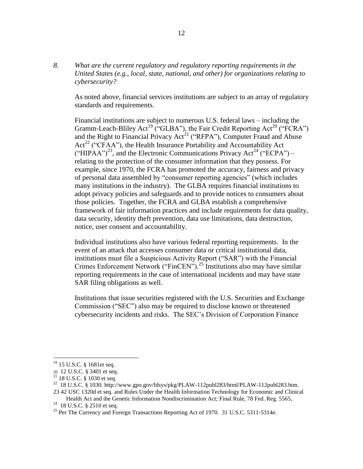*8. What are the current regulatory and regulatory reporting requirements in the United States (e.g., local, state, national, and other) for organizations relating to cybersecurity?*

As noted above, financial services institutions are subject to an array of regulatory standards and requirements.

Financial institutions are subject to numerous U.S. federal laws – including the Gramm-Leach-Bliley Act<sup>19</sup> ("GLBA"), the Fair Credit Reporting Act<sup>20</sup> ("FCRA") and the Right to Financial Privacy  $Ac<sup>21</sup>$  ("RFPA"), Computer Fraud and Abuse  $Act^{22}$  ("CFAA"), the Health Insurance Portability and Accountability Act ("HIPAA")<sup>23</sup>, and the Electronic Communications Privacy Act<sup>24</sup> ("ECPA") – relating to the protection of the consumer information that they possess. For example, since 1970, the FCRA has promoted the accuracy, fairness and privacy of personal data assembled by "consumer reporting agencies" (which includes many institutions in the industry). The GLBA requires financial institutions to adopt privacy policies and safeguards and to provide notices to consumers about those policies. Together, the FCRA and GLBA establish a comprehensive framework of fair information practices and include requirements for data quality, data security, identity theft prevention, data use limitations, data destruction, notice, user consent and accountability.

Individual institutions also have various federal reporting requirements. In the event of an attack that accesses consumer data or critical institutional data, institutions must file a Suspicious Activity Report ("SAR") with the Financial Crimes Enforcement Network ("FinCEN").<sup>25</sup> Institutions also may have similar reporting requirements in the case of international incidents and may have state SAR filing obligations as well.

Institutions that issue securities registered with the U.S. Securities and Exchange Commission ("SEC") also may be required to disclose known or threatened cybersecurity incidents and risks. The SEC's Division of Corporation Finance

<sup>&</sup>lt;sup>19</sup> 15 U.S.C. § 1681et seq.

<sup>20</sup> 12 U.S.C. § 3401 et seq.

 $21$  18 U.S.C. § 1030 et seq.

<sup>22</sup> 18 U.S.C. § 1030. http://www.gpo.gov/fdsys/pkg/PLAW-112publ283/html/PLAW-112publ283.htm.

<sup>23</sup> 42 USC 1320d et seq. and Rules Under the Health Information Technology for Economic and Clinical Health Act and the Genetic Information Nondiscrimination Act; Final Rule, 78 Fed. Reg. 5565,

<sup>&</sup>lt;sup>24</sup> 18 U.S.C. § 2510 et seq.

<sup>&</sup>lt;sup>25</sup> Per The Currency and Foreign Transactions Reporting Act of 1970. 31 U.S.C. 5311-5314e.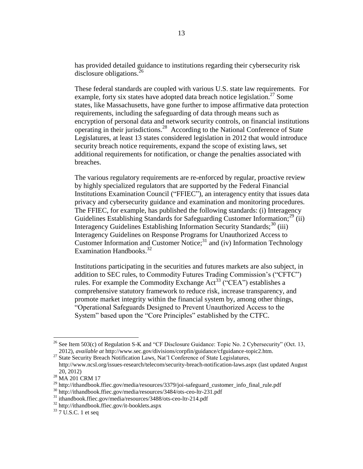has provided detailed guidance to institutions regarding their cybersecurity risk disclosure obligations.<sup>26</sup>

These federal standards are coupled with various U.S. state law requirements. For example, forty six states have adopted data breach notice legislation.<sup>27</sup> Some states, like Massachusetts, have gone further to impose affirmative data protection requirements, including the safeguarding of data through means such as encryption of personal data and network security controls, on financial institutions operating in their jurisdictions.<sup>28</sup> According to the National Conference of State Legislatures, at least 13 states considered legislation in 2012 that would introduce security breach notice requirements, expand the scope of existing laws, set additional requirements for notification, or change the penalties associated with breaches.

The various regulatory requirements are re-enforced by regular, proactive review by highly specialized regulators that are supported by the Federal Financial Institutions Examination Council ("FFIEC"), an interagency entity that issues data privacy and cybersecurity guidance and examination and monitoring procedures. The FFIEC, for example, has published the following standards: (i) Interagency Guidelines Establishing Standards for Safeguarding Customer Information; $^{29}$  (ii) Interagency Guidelines Establishing Information Security Standards;<sup>30</sup> (iii) Interagency Guidelines on Response Programs for Unauthorized Access to Customer Information and Customer Notice; $31$  and (iv) Information Technology Examination Handbooks.<sup>32</sup>

Institutions participating in the securities and futures markets are also subject, in addition to SEC rules, to Commodity Futures Trading Commission's ("CFTC") rules. For example the Commodity Exchange  $Act^{33}$  ("CEA") establishes a comprehensive statutory framework to reduce risk, increase transparency, and promote market integrity within the financial system by, among other things, "Operational Safeguards Designed to Prevent Unauthorized Access to the System" based upon the "Core Principles" established by the CTFC.

<sup>&</sup>lt;sup>26</sup> See Item 503(c) of Regulation S-K and "CF Disclosure Guidance: Topic No. 2 Cybersecurity" (Oct. 13, 2012), *available at* http://www.sec.gov/divisions/corpfin/guidance/cfguidance-topic2.htm.

<sup>&</sup>lt;sup>27</sup> State Security Breach Notification Laws, Nat'l Conference of State Legislatures, http://www.ncsl.org/issues-research/telecom/security-breach-notification-laws.aspx (last updated August 20, 2012)

<sup>&</sup>lt;sup>28</sup> MA 201 CRM 17

<sup>29</sup> http://ithandbook.ffiec.gov/media/resources/3379/joi-safeguard\_customer\_info\_final\_rule.pdf

<sup>30</sup> http://ithandbook.ffiec.gov/media/resources/3484/ots-ceo-ltr-231.pdf

<sup>31</sup> ithandbook.ffiec.gov/media/resources/3488/ots-ceo-ltr-214.pdf

<sup>32</sup> http://ithandbook.ffiec.gov/it-booklets.aspx

 $33$  7 U.S.C. 1 et seq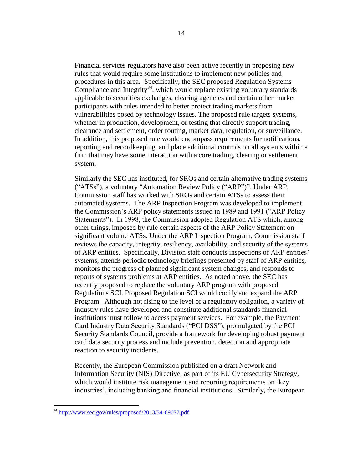Financial services regulators have also been active recently in proposing new rules that would require some institutions to implement new policies and procedures in this area. Specifically, the SEC proposed Regulation Systems Compliance and Integrity<sup>34</sup>, which would replace existing voluntary standards applicable to securities exchanges, clearing agencies and certain other market participants with rules intended to better protect trading markets from vulnerabilities posed by technology issues. The proposed rule targets systems, whether in production, development, or testing that directly support trading, clearance and settlement, order routing, market data, regulation, or surveillance. In addition, this proposed rule would encompass requirements for notifications, reporting and recordkeeping, and place additional controls on all systems within a firm that may have some interaction with a core trading, clearing or settlement system.

Similarly the SEC has instituted, for SROs and certain alternative trading systems ("ATSs"), a voluntary "Automation Review Policy ("ARP")". Under ARP, Commission staff has worked with SROs and certain ATSs to assess their automated systems. The ARP Inspection Program was developed to implement the Commission's ARP policy statements issued in 1989 and 1991 ("ARP Policy Statements"). In 1998, the Commission adopted Regulation ATS which, among other things, imposed by rule certain aspects of the ARP Policy Statement on significant volume ATSs. Under the ARP Inspection Program, Commission staff reviews the capacity, integrity, resiliency, availability, and security of the systems of ARP entities. Specifically, Division staff conducts inspections of ARP entities' systems, attends periodic technology briefings presented by staff of ARP entities, monitors the progress of planned significant system changes, and responds to reports of systems problems at ARP entities. As noted above, the SEC has recently proposed to replace the voluntary ARP program with proposed Regulations SCI. Proposed Regulation SCI would codify and expand the ARP Program. Although not rising to the level of a regulatory obligation, a variety of industry rules have developed and constitute additional standards financial institutions must follow to access payment services. For example, the Payment Card Industry Data Security Standards ("PCI DSS"), promulgated by the PCI Security Standards Council, provide a framework for developing robust payment card data security process and include prevention, detection and appropriate reaction to security incidents.

Recently, the European Commission published on a draft Network and Information Security (NIS) Directive, as part of its EU Cybersecurity Strategy, which would institute risk management and reporting requirements on 'key industries', including banking and financial institutions. Similarly, the European

<sup>34</sup> <http://www.sec.gov/rules/proposed/2013/34-69077.pdf>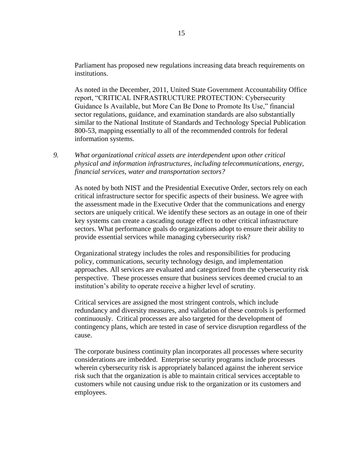Parliament has proposed new regulations increasing data breach requirements on institutions.

As noted in the December, 2011, United State Government Accountability Office report, "CRITICAL INFRASTRUCTURE PROTECTION: Cybersecurity Guidance Is Available, but More Can Be Done to Promote Its Use," financial sector regulations, guidance, and examination standards are also substantially similar to the National Institute of Standards and Technology Special Publication 800-53, mapping essentially to all of the recommended controls for federal information systems.

*9. What organizational critical assets are interdependent upon other critical physical and information infrastructures, including telecommunications, energy, financial services, water and transportation sectors?*

As noted by both NIST and the Presidential Executive Order, sectors rely on each critical infrastructure sector for specific aspects of their business. We agree with the assessment made in the Executive Order that the communications and energy sectors are uniquely critical. We identify these sectors as an outage in one of their key systems can create a cascading outage effect to other critical infrastructure sectors. What performance goals do organizations adopt to ensure their ability to provide essential services while managing cybersecurity risk?

Organizational strategy includes the roles and responsibilities for producing policy, communications, security technology design, and implementation approaches. All services are evaluated and categorized from the cybersecurity risk perspective. These processes ensure that business services deemed crucial to an institution's ability to operate receive a higher level of scrutiny.

Critical services are assigned the most stringent controls, which include redundancy and diversity measures, and validation of these controls is performed continuously. Critical processes are also targeted for the development of contingency plans, which are tested in case of service disruption regardless of the cause.

The corporate business continuity plan incorporates all processes where security considerations are imbedded. Enterprise security programs include processes wherein cybersecurity risk is appropriately balanced against the inherent service risk such that the organization is able to maintain critical services acceptable to customers while not causing undue risk to the organization or its customers and employees.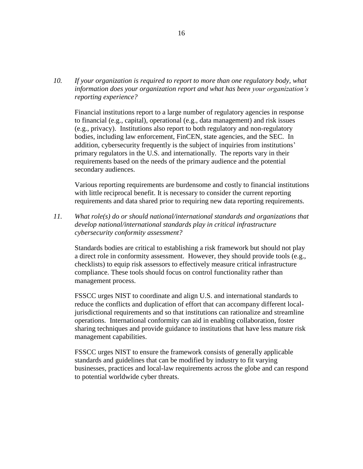*10. If your organization is required to report to more than one regulatory body, what information does your organization report and what has been your organization's reporting experience?*

Financial institutions report to a large number of regulatory agencies in response to financial (e.g., capital), operational (e.g., data management) and risk issues (e.g., privacy). Institutions also report to both regulatory and non-regulatory bodies, including law enforcement, FinCEN, state agencies, and the SEC. In addition, cybersecurity frequently is the subject of inquiries from institutions' primary regulators in the U.S. and internationally. The reports vary in their requirements based on the needs of the primary audience and the potential secondary audiences.

Various reporting requirements are burdensome and costly to financial institutions with little reciprocal benefit. It is necessary to consider the current reporting requirements and data shared prior to requiring new data reporting requirements.

*11. What role(s) do or should national/international standards and organizations that develop national/international standards play in critical infrastructure cybersecurity conformity assessment?*

Standards bodies are critical to establishing a risk framework but should not play a direct role in conformity assessment. However, they should provide tools (e.g., checklists) to equip risk assessors to effectively measure critical infrastructure compliance. These tools should focus on control functionality rather than management process.

FSSCC urges NIST to coordinate and align U.S. and international standards to reduce the conflicts and duplication of effort that can accompany different localjurisdictional requirements and so that institutions can rationalize and streamline operations. International conformity can aid in enabling collaboration, foster sharing techniques and provide guidance to institutions that have less mature risk management capabilities.

FSSCC urges NIST to ensure the framework consists of generally applicable standards and guidelines that can be modified by industry to fit varying businesses, practices and local-law requirements across the globe and can respond to potential worldwide cyber threats.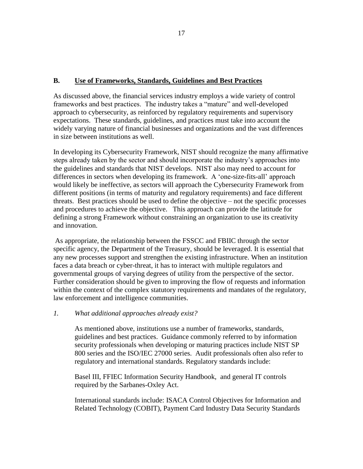### **B. Use of Frameworks, Standards, Guidelines and Best Practices**

As discussed above, the financial services industry employs a wide variety of control frameworks and best practices. The industry takes a "mature" and well-developed approach to cybersecurity, as reinforced by regulatory requirements and supervisory expectations. These standards, guidelines, and practices must take into account the widely varying nature of financial businesses and organizations and the vast differences in size between institutions as well.

In developing its Cybersecurity Framework, NIST should recognize the many affirmative steps already taken by the sector and should incorporate the industry's approaches into the guidelines and standards that NIST develops. NIST also may need to account for differences in sectors when developing its framework. A 'one-size-fits-all' approach would likely be ineffective, as sectors will approach the Cybersecurity Framework from different positions (in terms of maturity and regulatory requirements) and face different threats. Best practices should be used to define the objective – not the specific processes and procedures to achieve the objective. This approach can provide the latitude for defining a strong Framework without constraining an organization to use its creativity and innovation.

As appropriate, the relationship between the FSSCC and FBIIC through the sector specific agency, the Department of the Treasury, should be leveraged. It is essential that any new processes support and strengthen the existing infrastructure. When an institution faces a data breach or cyber-threat, it has to interact with multiple regulators and governmental groups of varying degrees of utility from the perspective of the sector. Further consideration should be given to improving the flow of requests and information within the context of the complex statutory requirements and mandates of the regulatory, law enforcement and intelligence communities.

#### *1. What additional approaches already exist?*

As mentioned above, institutions use a number of frameworks, standards, guidelines and best practices. Guidance commonly referred to by information security professionals when developing or maturing practices include NIST SP 800 series and the ISO/IEC 27000 series. Audit professionals often also refer to regulatory and international standards. Regulatory standards include:

Basel III, FFIEC Information Security Handbook, and general IT controls required by the Sarbanes-Oxley Act.

International standards include: ISACA Control Objectives for Information and Related Technology (COBIT), Payment Card Industry Data Security Standards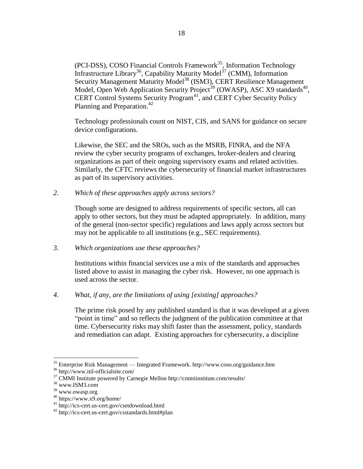(PCI-DSS), COSO Financial Controls Framework<sup>35</sup>, Information Technology Infrastructure Library<sup>36</sup>, Capability Maturity Model<sup>37</sup> (CMM), Information Security Management Maturity Model<sup>38</sup> (ISM3), CERT Resilience Management Model, Open Web Application Security Project<sup>39</sup> (OWASP), ASC X9 standards<sup>40</sup>, CERT Control Systems Security Program<sup>41</sup>, and CERT Cyber Security Policy Planning and Preparation.<sup>42</sup>

Technology professionals count on NIST, CIS, and SANS for guidance on secure device configurations.

Likewise, the SEC and the SROs, such as the MSRB, FINRA, and the NFA review the cyber security programs of exchanges, broker-dealers and clearing organizations as part of their ongoing supervisory exams and related activities. Similarly, the CFTC reviews the cybersecurity of financial market infrastructures as part of its supervisory activities.

*2. Which of these approaches apply across sectors?*

Though some are designed to address requirements of specific sectors, all can apply to other sectors, but they must be adapted appropriately. In addition, many of the general (non-sector specific) regulations and laws apply across sectors but may not be applicable to all institutions (e.g., SEC requirements).

*3. Which organizations use these approaches?*

Institutions within financial services use a mix of the standards and approaches listed above to assist in managing the cyber risk. However, no one approach is used across the sector.

*4. What, if any, are the limitations of using [existing] approaches?*

The prime risk posed by any published standard is that it was developed at a given "point in time" and so reflects the judgment of the publication committee at that time. Cybersecurity risks may shift faster than the assessment, policy, standards and remediation can adapt. Existing approaches for cybersecurity, a discipline

 $35$  Enterprise Risk Management — Integrated Framework. http://www.coso.org/guidance.htm

<sup>36</sup> http://www.itil-officialsite.com/

<sup>37</sup> CMMI Institute powered by Carnegie Mellon http://cmmiinstitute.com/results/

<sup>38</sup> www.ISM3.com

<sup>39</sup> www.owasp.org

 $40$  https://www.x9.org/home/

<sup>41</sup> http://ics-cert.us-cert.gov/csetdownload.html

<sup>42</sup> http://ics-cert.us-cert.gov/csstandards.html#plan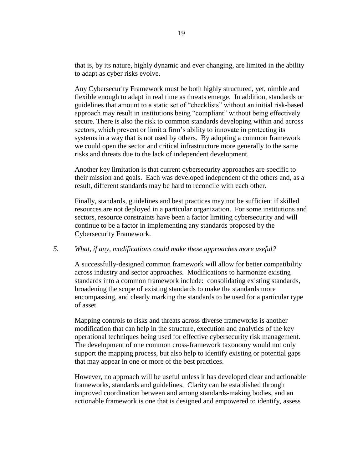that is, by its nature, highly dynamic and ever changing, are limited in the ability to adapt as cyber risks evolve.

Any Cybersecurity Framework must be both highly structured, yet, nimble and flexible enough to adapt in real time as threats emerge. In addition, standards or guidelines that amount to a static set of "checklists" without an initial risk-based approach may result in institutions being "compliant" without being effectively secure. There is also the risk to common standards developing within and across sectors, which prevent or limit a firm's ability to innovate in protecting its systems in a way that is not used by others. By adopting a common framework we could open the sector and critical infrastructure more generally to the same risks and threats due to the lack of independent development.

Another key limitation is that current cybersecurity approaches are specific to their mission and goals. Each was developed independent of the others and, as a result, different standards may be hard to reconcile with each other.

Finally, standards, guidelines and best practices may not be sufficient if skilled resources are not deployed in a particular organization. For some institutions and sectors, resource constraints have been a factor limiting cybersecurity and will continue to be a factor in implementing any standards proposed by the Cybersecurity Framework.

#### *5. What, if any, modifications could make these approaches more useful?*

A successfully-designed common framework will allow for better compatibility across industry and sector approaches. Modifications to harmonize existing standards into a common framework include: consolidating existing standards, broadening the scope of existing standards to make the standards more encompassing, and clearly marking the standards to be used for a particular type of asset.

Mapping controls to risks and threats across diverse frameworks is another modification that can help in the structure, execution and analytics of the key operational techniques being used for effective cybersecurity risk management. The development of one common cross-framework taxonomy would not only support the mapping process, but also help to identify existing or potential gaps that may appear in one or more of the best practices.

However, no approach will be useful unless it has developed clear and actionable frameworks, standards and guidelines. Clarity can be established through improved coordination between and among standards-making bodies, and an actionable framework is one that is designed and empowered to identify, assess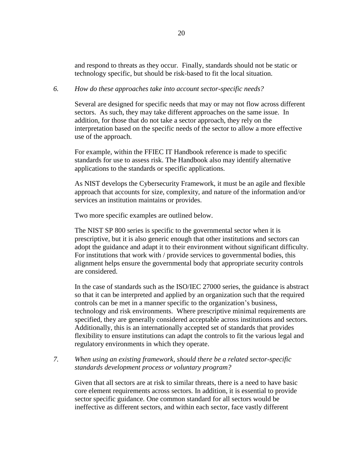and respond to threats as they occur. Finally, standards should not be static or technology specific, but should be risk-based to fit the local situation.

#### *6. How do these approaches take into account sector-specific needs?*

Several are designed for specific needs that may or may not flow across different sectors. As such, they may take different approaches on the same issue. In addition, for those that do not take a sector approach, they rely on the interpretation based on the specific needs of the sector to allow a more effective use of the approach.

For example, within the FFIEC IT Handbook reference is made to specific standards for use to assess risk. The Handbook also may identify alternative applications to the standards or specific applications.

As NIST develops the Cybersecurity Framework, it must be an agile and flexible approach that accounts for size, complexity, and nature of the information and/or services an institution maintains or provides.

Two more specific examples are outlined below.

The NIST SP 800 series is specific to the governmental sector when it is prescriptive, but it is also generic enough that other institutions and sectors can adopt the guidance and adapt it to their environment without significant difficulty. For institutions that work with / provide services to governmental bodies, this alignment helps ensure the governmental body that appropriate security controls are considered.

In the case of standards such as the ISO/IEC 27000 series, the guidance is abstract so that it can be interpreted and applied by an organization such that the required controls can be met in a manner specific to the organization's business, technology and risk environments. Where prescriptive minimal requirements are specified, they are generally considered acceptable across institutions and sectors. Additionally, this is an internationally accepted set of standards that provides flexibility to ensure institutions can adapt the controls to fit the various legal and regulatory environments in which they operate.

### *7. When using an existing framework, should there be a related sector-specific standards development process or voluntary program?*

Given that all sectors are at risk to similar threats, there is a need to have basic core element requirements across sectors. In addition, it is essential to provide sector specific guidance. One common standard for all sectors would be ineffective as different sectors, and within each sector, face vastly different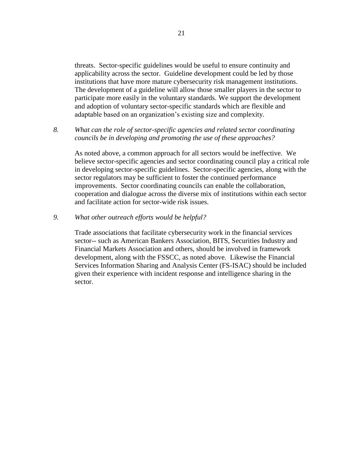threats. Sector-specific guidelines would be useful to ensure continuity and applicability across the sector. Guideline development could be led by those institutions that have more mature cybersecurity risk management institutions. The development of a guideline will allow those smaller players in the sector to participate more easily in the voluntary standards. We support the development and adoption of voluntary sector-specific standards which are flexible and adaptable based on an organization's existing size and complexity.

*8. What can the role of sector-specific agencies and related sector coordinating councils be in developing and promoting the use of these approaches?*

As noted above, a common approach for all sectors would be ineffective. We believe sector-specific agencies and sector coordinating council play a critical role in developing sector-specific guidelines. Sector-specific agencies, along with the sector regulators may be sufficient to foster the continued performance improvements. Sector coordinating councils can enable the collaboration, cooperation and dialogue across the diverse mix of institutions within each sector and facilitate action for sector-wide risk issues.

#### *9. What other outreach efforts would be helpful?*

Trade associations that facilitate cybersecurity work in the financial services sector-- such as American Bankers Association, BITS, Securities Industry and Financial Markets Association and others, should be involved in framework development, along with the FSSCC, as noted above. Likewise the Financial Services Information Sharing and Analysis Center (FS-ISAC) should be included given their experience with incident response and intelligence sharing in the sector.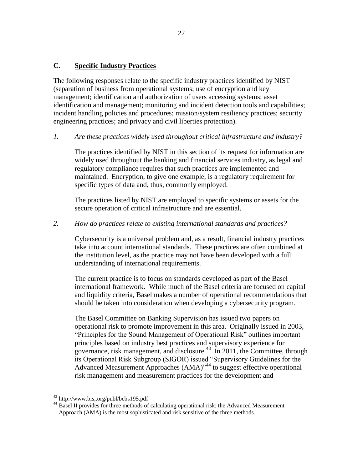# **C. Specific Industry Practices**

The following responses relate to the specific industry practices identified by NIST (separation of business from operational systems; use of encryption and key management; identification and authorization of users accessing systems; asset identification and management; monitoring and incident detection tools and capabilities; incident handling policies and procedures; mission/system resiliency practices; security engineering practices; and privacy and civil liberties protection).

#### *1. Are these practices widely used throughout critical infrastructure and industry?*

The practices identified by NIST in this section of its request for information are widely used throughout the banking and financial services industry, as legal and regulatory compliance requires that such practices are implemented and maintained. Encryption, to give one example, is a regulatory requirement for specific types of data and, thus, commonly employed.

The practices listed by NIST are employed to specific systems or assets for the secure operation of critical infrastructure and are essential.

#### *2. How do practices relate to existing international standards and practices?*

Cybersecurity is a universal problem and, as a result, financial industry practices take into account international standards. These practices are often combined at the institution level, as the practice may not have been developed with a full understanding of international requirements.

The current practice is to focus on standards developed as part of the Basel international framework. While much of the Basel criteria are focused on capital and liquidity criteria, Basel makes a number of operational recommendations that should be taken into consideration when developing a cybersecurity program.

The Basel Committee on Banking Supervision has issued two papers on operational risk to promote improvement in this area. Originally issued in 2003, "Principles for the Sound Management of Operational Risk" outlines important principles based on industry best practices and supervisory experience for governance, risk management, and disclosure.<sup>43</sup> In 2011, the Committee, through its Operational Risk Subgroup (SIGOR) issued "Supervisory Guidelines for the Advanced Measurement Approaches (AMA)<sup>"44</sup> to suggest effective operational risk management and measurement practices for the development and

<sup>&</sup>lt;sup>43</sup> http://www.bis,.org/publ/bcbs195.pdf

<sup>&</sup>lt;sup>44</sup> Basel II provides for three methods of calculating operational risk; the Advanced Measurement Approach (AMA) is the most sophisticated and risk sensitive of the three methods.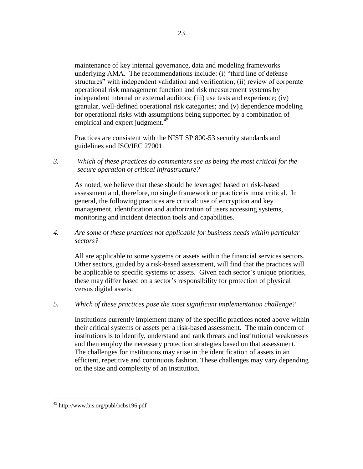maintenance of key internal governance, data and modeling frameworks underlying AMA. The recommendations include: (i) "third line of defense structures" with independent validation and verification; (ii) review of corporate operational risk management function and risk measurement systems by independent internal or external auditors; (iii) use tests and experience; (iv) granular, well-defined operational risk categories; and (v) dependence modeling for operational risks with assumptions being supported by a combination of empirical and expert judgment.<sup>45</sup>

Practices are consistent with the NIST SP 800-53 security standards and guidelines and ISO/IEC 27001.

*3. Which of these practices do commenters see as being the most critical for the secure operation of critical infrastructure?* 

As noted, we believe that these should be leveraged based on risk-based assessment and, therefore, no single framework or practice is most critical. In general, the following practices are critical: use of encryption and key management, identification and authorization of users accessing systems, monitoring and incident detection tools and capabilities.

*4. Are some of these practices not applicable for business needs within particular sectors?*

All are applicable to some systems or assets within the financial services sectors. Other sectors, guided by a risk-based assessment, will find that the practices will be applicable to specific systems or assets. Given each sector's unique priorities, these may differ based on a sector's responsibility for protection of physical versus digital assets.

*5. Which of these practices pose the most significant implementation challenge?*

Institutions currently implement many of the specific practices noted above within their critical systems or assets per a risk-based assessment. The main concern of institutions is to identify, understand and rank threats and institutional weaknesses and then employ the necessary protection strategies based on that assessment. The challenges for institutions may arise in the identification of assets in an efficient, repetitive and continuous fashion. These challenges may vary depending on the size and complexity of an institution.

 $\overline{a}$ <sup>45</sup> http://www.bis.org/publ/bcbs196.pdf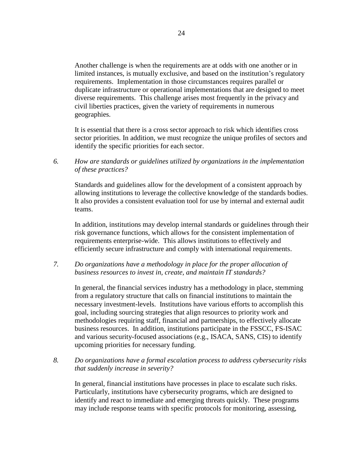Another challenge is when the requirements are at odds with one another or in limited instances, is mutually exclusive, and based on the institution's regulatory requirements. Implementation in those circumstances requires parallel or duplicate infrastructure or operational implementations that are designed to meet diverse requirements. This challenge arises most frequently in the privacy and civil liberties practices, given the variety of requirements in numerous geographies.

It is essential that there is a cross sector approach to risk which identifies cross sector priorities. In addition, we must recognize the unique profiles of sectors and identify the specific priorities for each sector.

*6. How are standards or guidelines utilized by organizations in the implementation of these practices?*

Standards and guidelines allow for the development of a consistent approach by allowing institutions to leverage the collective knowledge of the standards bodies. It also provides a consistent evaluation tool for use by internal and external audit teams.

In addition, institutions may develop internal standards or guidelines through their risk governance functions, which allows for the consistent implementation of requirements enterprise-wide. This allows institutions to effectively and efficiently secure infrastructure and comply with international requirements.

*7. Do organizations have a methodology in place for the proper allocation of business resources to invest in, create, and maintain IT standards?*

In general, the financial services industry has a methodology in place, stemming from a regulatory structure that calls on financial institutions to maintain the necessary investment-levels. Institutions have various efforts to accomplish this goal, including sourcing strategies that align resources to priority work and methodologies requiring staff, financial and partnerships, to effectively allocate business resources. In addition, institutions participate in the FSSCC, FS-ISAC and various security-focused associations (e.g., ISACA, SANS, CIS) to identify upcoming priorities for necessary funding.

*8. Do organizations have a formal escalation process to address cybersecurity risks that suddenly increase in severity?*

In general, financial institutions have processes in place to escalate such risks. Particularly, institutions have cybersecurity programs, which are designed to identify and react to immediate and emerging threats quickly. These programs may include response teams with specific protocols for monitoring, assessing,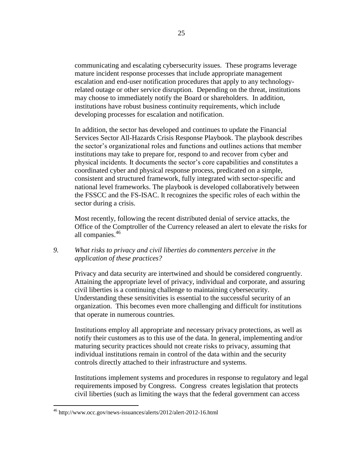communicating and escalating cybersecurity issues. These programs leverage mature incident response processes that include appropriate management escalation and end-user notification procedures that apply to any technologyrelated outage or other service disruption. Depending on the threat, institutions may choose to immediately notify the Board or shareholders. In addition, institutions have robust business continuity requirements, which include developing processes for escalation and notification.

In addition, the sector has developed and continues to update the Financial Services Sector All-Hazards Crisis Response Playbook. The playbook describes the sector's organizational roles and functions and outlines actions that member institutions may take to prepare for, respond to and recover from cyber and physical incidents. It documents the sector's core capabilities and constitutes a coordinated cyber and physical response process, predicated on a simple, consistent and structured framework, fully integrated with sector-specific and national level frameworks. The playbook is developed collaboratively between the FSSCC and the FS-ISAC. It recognizes the specific roles of each within the sector during a crisis.

Most recently, following the recent distributed denial of service attacks, the Office of the Comptroller of the Currency released an alert to elevate the risks for all companies. 46

### *9. What risks to privacy and civil liberties do commenters perceive in the application of these practices?*

Privacy and data security are intertwined and should be considered congruently. Attaining the appropriate level of privacy, individual and corporate, and assuring civil liberties is a continuing challenge to maintaining cybersecurity. Understanding these sensitivities is essential to the successful security of an organization. This becomes even more challenging and difficult for institutions that operate in numerous countries.

Institutions employ all appropriate and necessary privacy protections, as well as notify their customers as to this use of the data. In general, implementing and/or maturing security practices should not create risks to privacy, assuming that individual institutions remain in control of the data within and the security controls directly attached to their infrastructure and systems.

Institutions implement systems and procedures in response to regulatory and legal requirements imposed by Congress. Congress creates legislation that protects civil liberties (such as limiting the ways that the federal government can access

<sup>46</sup> http://www.occ.gov/news-issuances/alerts/2012/alert-2012-16.html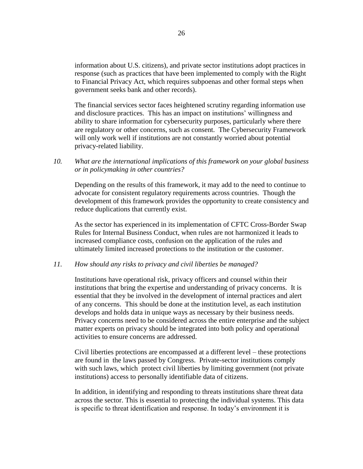information about U.S. citizens), and private sector institutions adopt practices in response (such as practices that have been implemented to comply with the Right to Financial Privacy Act, which requires subpoenas and other formal steps when government seeks bank and other records).

The financial services sector faces heightened scrutiny regarding information use and disclosure practices. This has an impact on institutions' willingness and ability to share information for cybersecurity purposes, particularly where there are regulatory or other concerns, such as consent. The Cybersecurity Framework will only work well if institutions are not constantly worried about potential privacy-related liability.

## *10. What are the international implications of this framework on your global business or in policymaking in other countries?*

Depending on the results of this framework, it may add to the need to continue to advocate for consistent regulatory requirements across countries. Though the development of this framework provides the opportunity to create consistency and reduce duplications that currently exist.

As the sector has experienced in its implementation of CFTC Cross-Border Swap Rules for Internal Business Conduct, when rules are not harmonized it leads to increased compliance costs, confusion on the application of the rules and ultimately limited increased protections to the institution or the customer.

#### *11. How should any risks to privacy and civil liberties be managed?*

Institutions have operational risk, privacy officers and counsel within their institutions that bring the expertise and understanding of privacy concerns. It is essential that they be involved in the development of internal practices and alert of any concerns. This should be done at the institution level, as each institution develops and holds data in unique ways as necessary by their business needs. Privacy concerns need to be considered across the entire enterprise and the subject matter experts on privacy should be integrated into both policy and operational activities to ensure concerns are addressed.

Civil liberties protections are encompassed at a different level – these protections are found in the laws passed by Congress. Private-sector institutions comply with such laws, which protect civil liberties by limiting government (not private institutions) access to personally identifiable data of citizens.

In addition, in identifying and responding to threats institutions share threat data across the sector. This is essential to protecting the individual systems. This data is specific to threat identification and response. In today's environment it is